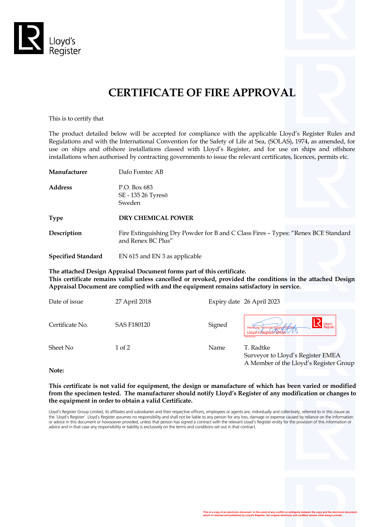

# **CERTIFICATE OF FIRE APPROVAL**

This is to certify that

The product detailed below will be accepted for compliance with the applicable Lloyd's Register Rules and Regulations and with the International Convention for the Safety of Life at Sea, (SOLAS), 1974, as amended, for use on ships and offshore installations classed with Lloyd's Register, and for use on ships and offshore installations when authorised by contracting governments to issue the relevant certificates, licences, permits etc.

| Manufacturer              | Dafo Fomtec AB                                                                                           |  |
|---------------------------|----------------------------------------------------------------------------------------------------------|--|
| <b>Address</b>            | P.O. Box 683<br>SE - 135 26 Tyresö<br>Sweden                                                             |  |
| <b>Type</b>               | <b>DRY CHEMICAL POWER</b>                                                                                |  |
| Description               | Fire Extinguishing Dry Powder for B and C Class Fires - Types: "Renex BCE Standard<br>and Renex BC Plus" |  |
| <b>Specified Standard</b> | EN 615 and EN 3 as applicable                                                                            |  |

**The attached Design Appraisal Document forms part of this certificate. This certificate remains valid unless cancelled or revoked, provided the conditions in the attached Design Appraisal Document are complied with and the equipment remains satisfactory in service.**

| Date of issue   | 27 April 2018 |        | Expiry date 26 April 2023                                                                         |
|-----------------|---------------|--------|---------------------------------------------------------------------------------------------------|
| Certificate No. | SAS F180120   | Signed | Lloyd's<br>Register<br>Hamburg Technical Support Office<br>Lloyd's Register EMEA<br>LR030.2016.06 |
| Sheet No        | $1$ of $2$    | Name   | T. Radtke<br>Surveyor to Lloyd's Register EMEA<br>A Member of the Lloyd's Register Group          |

**Note:**

**This certificate is not valid for equipment, the design or manufacture of which has been varied or modified from the specimen tested. The manufacturer should notify Lloyd's Register of any modification or changes to the equipment in order to obtain a valid Certificate.**

Lloyd's Register Group Limited, its affiliates and subsidiaries and their respective officers, employees or agents are, individually and collectively, referred to in this clause as the 'Lloyd's Register'. Lloyd's Register assumes no responsibility and shall not be liable to any person for any loss, damage or expense caused by reliance on the information or advice in this document or howsoever provided, unless that person has signed a contract with the relevant Lloyd's Register entity for the provision of this information or advice and in that case any responsibility or liability is exclusively on the terms and conditions set out in that contract.